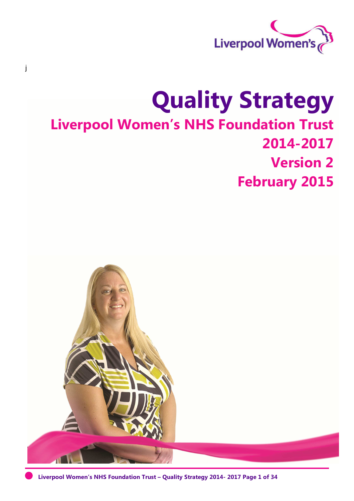

# **Quality Strategy Liverpool Women's NHS Foundation Trust 2014-2017 Version 2 February 2015**

j



**Liverpool Women's NHS Foundation Trust – Quality Strategy 2014- 2017 Page 1 of 34**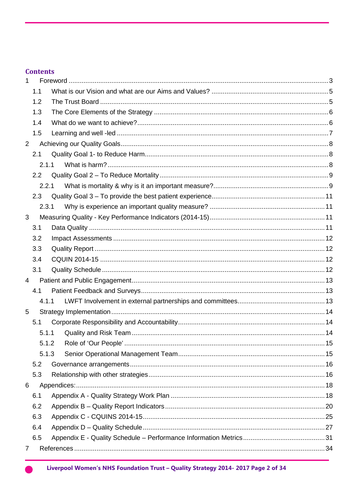## **Contents**

| 1              |       |  |
|----------------|-------|--|
|                | 1.1   |  |
|                | 1.2   |  |
|                | 1.3   |  |
|                | 1.4   |  |
|                | 1.5   |  |
| 2              |       |  |
|                | 2.1   |  |
|                | 2.1.1 |  |
|                | 2.2   |  |
|                | 2.2.1 |  |
|                | 2.3   |  |
|                | 2.3.1 |  |
| 3              |       |  |
|                | 3.1   |  |
|                | 3.2   |  |
|                | 3.3   |  |
|                | 3.4   |  |
|                | 3.1   |  |
| $\overline{4}$ |       |  |
|                | 4.1   |  |
|                | 4.1.1 |  |
| 5              |       |  |
|                | 5.1   |  |
|                | 5.1.1 |  |
|                |       |  |
|                | 5.1.3 |  |
|                | 5.2   |  |
|                | 5.3   |  |
| 6              |       |  |
|                | 6.1   |  |
|                | 6.2   |  |
|                | 6.3   |  |
|                | 6.4   |  |
|                | 6.5   |  |
| 7              |       |  |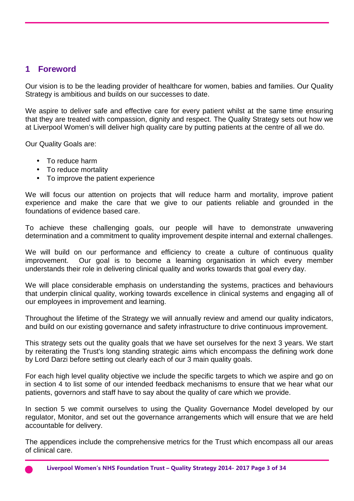## **1 Foreword**

Our vision is to be the leading provider of healthcare for women, babies and families. Our Quality Strategy is ambitious and builds on our successes to date.

We aspire to deliver safe and effective care for every patient whilst at the same time ensuring that they are treated with compassion, dignity and respect. The Quality Strategy sets out how we at Liverpool Women's will deliver high quality care by putting patients at the centre of all we do.

Our Quality Goals are:

- To reduce harm
- To reduce mortality
- To improve the patient experience

We will focus our attention on projects that will reduce harm and mortality, improve patient experience and make the care that we give to our patients reliable and grounded in the foundations of evidence based care.

To achieve these challenging goals, our people will have to demonstrate unwavering determination and a commitment to quality improvement despite internal and external challenges.

We will build on our performance and efficiency to create a culture of continuous quality improvement. Our goal is to become a learning organisation in which every member understands their role in delivering clinical quality and works towards that goal every day.

We will place considerable emphasis on understanding the systems, practices and behaviours that underpin clinical quality, working towards excellence in clinical systems and engaging all of our employees in improvement and learning.

Throughout the lifetime of the Strategy we will annually review and amend our quality indicators, and build on our existing governance and safety infrastructure to drive continuous improvement.

This strategy sets out the quality goals that we have set ourselves for the next 3 years. We start by reiterating the Trust's long standing strategic aims which encompass the defining work done by Lord Darzi before setting out clearly each of our 3 main quality goals.

For each high level quality objective we include the specific targets to which we aspire and go on in section 4 to list some of our intended feedback mechanisms to ensure that we hear what our patients, governors and staff have to say about the quality of care which we provide.

In section 5 we commit ourselves to using the Quality Governance Model developed by our regulator, Monitor, and set out the governance arrangements which will ensure that we are held accountable for delivery.

The appendices include the comprehensive metrics for the Trust which encompass all our areas of clinical care.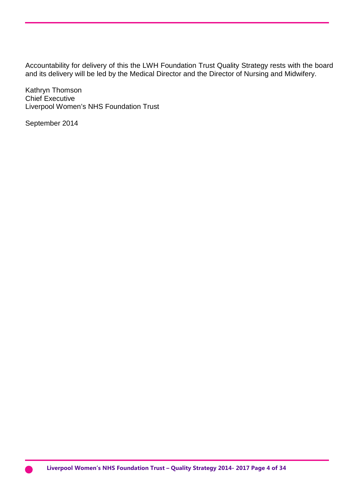Accountability for delivery of this the LWH Foundation Trust Quality Strategy rests with the board and its delivery will be led by the Medical Director and the Director of Nursing and Midwifery.

Kathryn Thomson Chief Executive Liverpool Women's NHS Foundation Trust

September 2014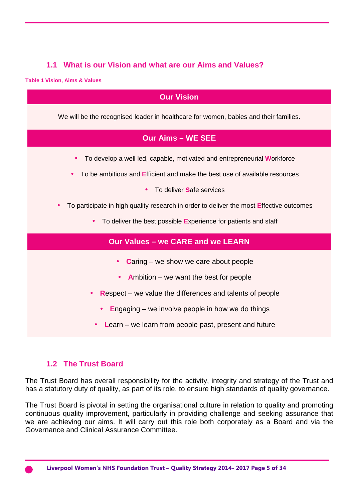## **1.1 What is our Vision and what are our Aims and Values?**

**Table 1 Vision, Aims & Values** 

## **Our Vision**  We will be the recognised leader in healthcare for women, babies and their families. **Our Aims – WE SEE**  • To develop a well led, capable, motivated and entrepreneurial **W**orkforce • To be ambitious and **E**fficient and make the best use of available resources • To deliver **S**afe services • To participate in high quality research in order to deliver the most **E**ffective outcomes • To deliver the best possible **E**xperience for patients and staff **Our Values – we CARE and we LEARN**  • **C**aring – we show we care about people • **A**mbition – we want the best for people • **R**espect – we value the differences and talents of people • **E**ngaging – we involve people in how we do things • **L**earn – we learn from people past, present and future

## **1.2 The Trust Board**

The Trust Board has overall responsibility for the activity, integrity and strategy of the Trust and has a statutory duty of quality, as part of its role, to ensure high standards of quality governance.

The Trust Board is pivotal in setting the organisational culture in relation to quality and promoting continuous quality improvement, particularly in providing challenge and seeking assurance that we are achieving our aims. It will carry out this role both corporately as a Board and via the Governance and Clinical Assurance Committee.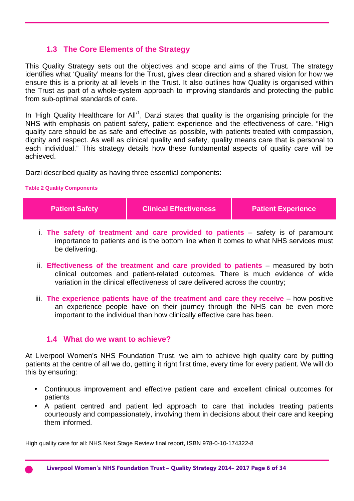## **1.3 The Core Elements of the Strategy**

This Quality Strategy sets out the objectives and scope and aims of the Trust. The strategy identifies what 'Quality' means for the Trust, gives clear direction and a shared vision for how we ensure this is a priority at all levels in the Trust. It also outlines how Quality is organised within the Trust as part of a whole-system approach to improving standards and protecting the public from sub-optimal standards of care.

In 'High Quality Healthcare for All'<sup>1</sup>, Darzi states that quality is the organising principle for the NHS with emphasis on patient safety, patient experience and the effectiveness of care. "High quality care should be as safe and effective as possible, with patients treated with compassion, dignity and respect. As well as clinical quality and safety, quality means care that is personal to each individual." This strategy details how these fundamental aspects of quality care will be achieved.

Darzi described quality as having three essential components:

#### **Table 2 Quality Components**

l

| <b>Patient Safety</b> | <b>Clinical Effectiveness</b> | <b>Patient Experience</b> |
|-----------------------|-------------------------------|---------------------------|
|                       |                               |                           |

- i. **The safety of treatment and care provided to patients** safety is of paramount importance to patients and is the bottom line when it comes to what NHS services must be delivering.
- ii. **Effectiveness of the treatment and care provided to patients** measured by both clinical outcomes and patient‐related outcomes. There is much evidence of wide variation in the clinical effectiveness of care delivered across the country;
- iii. **The experience patients have of the treatment and care they receive** how positive an experience people have on their journey through the NHS can be even more important to the individual than how clinically effective care has been.

#### **1.4 What do we want to achieve?**

At Liverpool Women's NHS Foundation Trust, we aim to achieve high quality care by putting patients at the centre of all we do, getting it right first time, every time for every patient. We will do this by ensuring:

- Continuous improvement and effective patient care and excellent clinical outcomes for patients
- A patient centred and patient led approach to care that includes treating patients courteously and compassionately, involving them in decisions about their care and keeping them informed.

High quality care for all: NHS Next Stage Review final report, ISBN 978-0-10-174322-8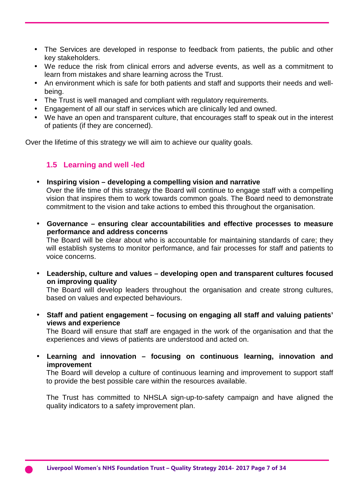- The Services are developed in response to feedback from patients, the public and other key stakeholders.
- We reduce the risk from clinical errors and adverse events, as well as a commitment to learn from mistakes and share learning across the Trust.
- An environment which is safe for both patients and staff and supports their needs and wellbeing.
- The Trust is well managed and compliant with regulatory requirements.
- Engagement of all our staff in services which are clinically led and owned.
- We have an open and transparent culture, that encourages staff to speak out in the interest of patients (if they are concerned).

Over the lifetime of this strategy we will aim to achieve our quality goals.

#### **1.5 Learning and well -led**

#### • **Inspiring vision – developing a compelling vision and narrative**

Over the life time of this strategy the Board will continue to engage staff with a compelling vision that inspires them to work towards common goals. The Board need to demonstrate commitment to the vision and take actions to embed this throughout the organisation.

• **Governance – ensuring clear accountabilities and effective processes to measure performance and address concerns** 

The Board will be clear about who is accountable for maintaining standards of care; they will establish systems to monitor performance, and fair processes for staff and patients to voice concerns.

• **Leadership, culture and values – developing open and transparent cultures focused on improving quality** 

The Board will develop leaders throughout the organisation and create strong cultures, based on values and expected behaviours.

• **Staff and patient engagement – focusing on engaging all staff and valuing patients' views and experience** 

The Board will ensure that staff are engaged in the work of the organisation and that the experiences and views of patients are understood and acted on.

• **Learning and innovation – focusing on continuous learning, innovation and improvement** 

The Board will develop a culture of continuous learning and improvement to support staff to provide the best possible care within the resources available.

The Trust has committed to NHSLA sign-up-to-safety campaign and have aligned the quality indicators to a safety improvement plan.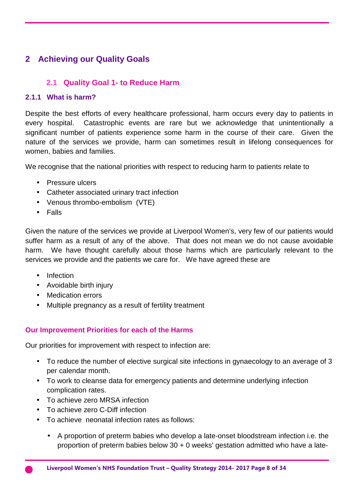## **2 Achieving our Quality Goals**

## **2.1 Quality Goal 1- to Reduce Harm**

#### **2.1.1 What is harm?**

Despite the best efforts of every healthcare professional, harm occurs every day to patients in every hospital. Catastrophic events are rare but we acknowledge that unintentionally a significant number of patients experience some harm in the course of their care. Given the nature of the services we provide, harm can sometimes result in lifelong consequences for women, babies and families.

We recognise that the national priorities with respect to reducing harm to patients relate to

- Pressure ulcers
- Catheter associated urinary tract infection
- Venous thrombo-embolism (VTE)
- Falls

Given the nature of the services we provide at Liverpool Women's, very few of our patients would suffer harm as a result of any of the above. That does not mean we do not cause avoidable harm. We have thought carefully about those harms which are particularly relevant to the services we provide and the patients we care for. We have agreed these are

- Infection
- Avoidable birth injury
- Medication errors
- Multiple pregnancy as a result of fertility treatment

#### **Our Improvement Priorities for each of the Harms**

Our priorities for improvement with respect to infection are:

- To reduce the number of elective surgical site infections in gynaecology to an average of 3 per calendar month.
- To work to cleanse data for emergency patients and determine underlying infection complication rates.
- To achieve zero MRSA infection
- To achieve zero C-Diff infection
- To achieve neonatal infection rates as follows:
	- A proportion of preterm babies who develop a late-onset bloodstream infection i.e. the proportion of preterm babies below 30 + 0 weeks' gestation admitted who have a late-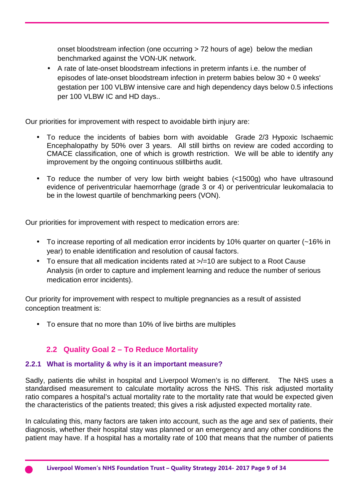onset bloodstream infection (one occurring > 72 hours of age) below the median benchmarked against the VON-UK network.

• A rate of late-onset bloodstream infections in preterm infants i.e. the number of episodes of late-onset bloodstream infection in preterm babies below 30 + 0 weeks' gestation per 100 VLBW intensive care and high dependency days below 0.5 infections per 100 VLBW IC and HD days..

Our priorities for improvement with respect to avoidable birth injury are:

- To reduce the incidents of babies born with avoidable Grade 2/3 Hypoxic Ischaemic Encephalopathy by 50% over 3 years. All still births on review are coded according to CMACE classification, one of which is growth restriction. We will be able to identify any improvement by the ongoing continuous stillbirths audit.
- To reduce the number of very low birth weight babies (<1500g) who have ultrasound evidence of periventricular haemorrhage (grade 3 or 4) or periventricular leukomalacia to be in the lowest quartile of benchmarking peers (VON).

Our priorities for improvement with respect to medication errors are:

- To increase reporting of all medication error incidents by 10% quarter on quarter (~16% in year) to enable identification and resolution of causal factors.
- To ensure that all medication incidents rated at  $\ge$ /=10 are subject to a Root Cause Analysis (in order to capture and implement learning and reduce the number of serious medication error incidents).

Our priority for improvement with respect to multiple pregnancies as a result of assisted conception treatment is:

• To ensure that no more than 10% of live births are multiples

## **2.2 Quality Goal 2 – To Reduce Mortality**

## **2.2.1 What is mortality & why is it an important measure?**

Sadly, patients die whilst in hospital and Liverpool Women's is no different. The NHS uses a standardised measurement to calculate mortality across the NHS. This risk adjusted mortality ratio compares a hospital's actual mortality rate to the mortality rate that would be expected given the characteristics of the patients treated; this gives a risk adjusted expected mortality rate.

In calculating this, many factors are taken into account, such as the age and sex of patients, their diagnosis, whether their hospital stay was planned or an emergency and any other conditions the patient may have. If a hospital has a mortality rate of 100 that means that the number of patients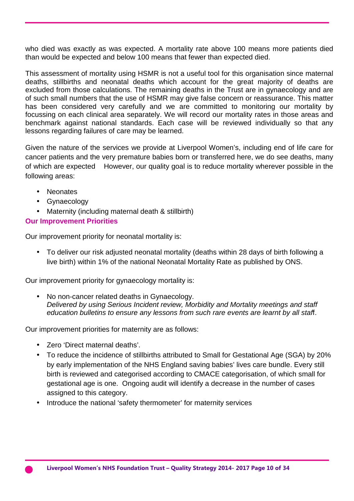who died was exactly as was expected. A mortality rate above 100 means more patients died than would be expected and below 100 means that fewer than expected died.

This assessment of mortality using HSMR is not a useful tool for this organisation since maternal deaths, stillbirths and neonatal deaths which account for the great majority of deaths are excluded from those calculations. The remaining deaths in the Trust are in gynaecology and are of such small numbers that the use of HSMR may give false concern or reassurance. This matter has been considered very carefully and we are committed to monitoring our mortality by focussing on each clinical area separately. We will record our mortality rates in those areas and benchmark against national standards. Each case will be reviewed individually so that any lessons regarding failures of care may be learned.

Given the nature of the services we provide at Liverpool Women's, including end of life care for cancer patients and the very premature babies born or transferred here, we do see deaths, many of which are expected However, our quality goal is to reduce mortality wherever possible in the following areas:

- Neonates
- Gynaecology
- Maternity (including maternal death & stillbirth)

## **Our Improvement Priorities**

Our improvement priority for neonatal mortality is:

• To deliver our risk adjusted neonatal mortality (deaths within 28 days of birth following a live birth) within 1% of the national Neonatal Mortality Rate as published by ONS.

Our improvement priority for gynaecology mortality is:

• No non-cancer related deaths in Gynaecology. Delivered by using Serious Incident review, Morbidity and Mortality meetings and staff education bulletins to ensure any lessons from such rare events are learnt by all staff.

Our improvement priorities for maternity are as follows:

- Zero 'Direct maternal deaths'.
- To reduce the incidence of stillbirths attributed to Small for Gestational Age (SGA) by 20% by early implementation of the NHS England saving babies' lives care bundle. Every still birth is reviewed and categorised according to CMACE categorisation, of which small for gestational age is one. Ongoing audit will identify a decrease in the number of cases assigned to this category.
- Introduce the national 'safety thermometer' for maternity services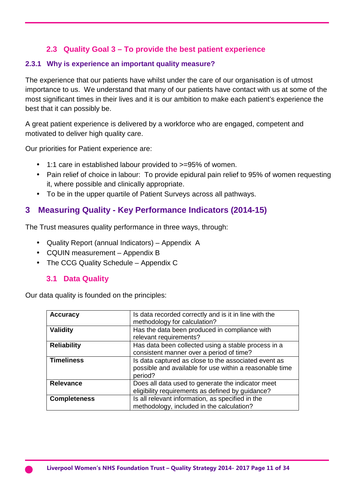## **2.3 Quality Goal 3 – To provide the best patient experience**

### **2.3.1 Why is experience an important quality measure?**

The experience that our patients have whilst under the care of our organisation is of utmost importance to us. We understand that many of our patients have contact with us at some of the most significant times in their lives and it is our ambition to make each patient's experience the best that it can possibly be.

A great patient experience is delivered by a workforce who are engaged, competent and motivated to deliver high quality care.

Our priorities for Patient experience are:

- 1:1 care in established labour provided to >=95% of women.
- Pain relief of choice in labour: To provide epidural pain relief to 95% of women requesting it, where possible and clinically appropriate.
- To be in the upper quartile of Patient Surveys across all pathways.

## **3 Measuring Quality - Key Performance Indicators (2014-15)**

The Trust measures quality performance in three ways, through:

- Quality Report (annual Indicators) Appendix A
- CQUIN measurement Appendix B
- The CCG Quality Schedule Appendix C

## **3.1 Data Quality**

Our data quality is founded on the principles:

| <b>Accuracy</b>     | Is data recorded correctly and is it in line with the<br>methodology for calculation?                                      |
|---------------------|----------------------------------------------------------------------------------------------------------------------------|
| <b>Validity</b>     | Has the data been produced in compliance with<br>relevant requirements?                                                    |
| <b>Reliability</b>  | Has data been collected using a stable process in a<br>consistent manner over a period of time?                            |
| <b>Timeliness</b>   | Is data captured as close to the associated event as<br>possible and available for use within a reasonable time<br>period? |
| <b>Relevance</b>    | Does all data used to generate the indicator meet<br>eligibility requirements as defined by guidance?                      |
| <b>Completeness</b> | Is all relevant information, as specified in the<br>methodology, included in the calculation?                              |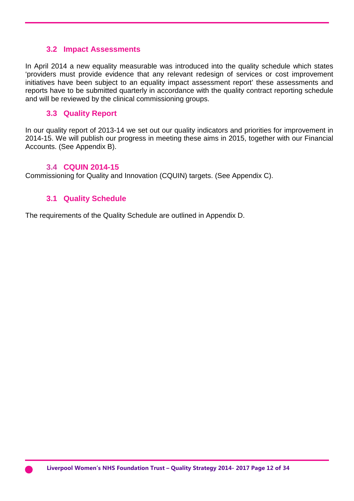#### **3.2 Impact Assessments**

In April 2014 a new equality measurable was introduced into the quality schedule which states 'providers must provide evidence that any relevant redesign of services or cost improvement initiatives have been subject to an equality impact assessment report' these assessments and reports have to be submitted quarterly in accordance with the quality contract reporting schedule and will be reviewed by the clinical commissioning groups.

#### **3.3 Quality Report**

In our quality report of 2013-14 we set out our quality indicators and priorities for improvement in 2014-15. We will publish our progress in meeting these aims in 2015, together with our Financial Accounts. (See Appendix B).

#### **3.4 CQUIN 2014-15**

Commissioning for Quality and Innovation (CQUIN) targets. (See Appendix C).

#### **3.1 Quality Schedule**

The requirements of the Quality Schedule are outlined in Appendix D.

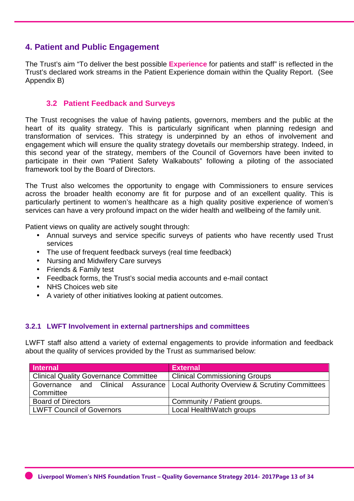## **4. Patient and Public Engagement**

The Trust's aim "To deliver the best possible **Experience** for patients and staff" is reflected in the Trust's declared work streams in the Patient Experience domain within the Quality Report. (See Appendix B)

#### **3.2 Patient Feedback and Surveys**

The Trust recognises the value of having patients, governors, members and the public at the heart of its quality strategy. This is particularly significant when planning redesign and transformation of services. This strategy is underpinned by an ethos of involvement and engagement which will ensure the quality strategy dovetails our membership strategy. Indeed, in this second year of the strategy, members of the Council of Governors have been invited to participate in their own "Patient Safety Walkabouts" following a piloting of the associated framework tool by the Board of Directors.

The Trust also welcomes the opportunity to engage with Commissioners to ensure services across the broader health economy are fit for purpose and of an excellent quality. This is particularly pertinent to women's healthcare as a high quality positive experience of women's services can have a very profound impact on the wider health and wellbeing of the family unit.

Patient views on quality are actively sought through:

- Annual surveys and service specific surveys of patients who have recently used Trust services
- The use of frequent feedback surveys (real time feedback)
- Nursing and Midwifery Care surveys
- Friends & Family test
- Feedback forms, the Trust's social media accounts and e-mail contact
- NHS Choices web site
- A variety of other initiatives looking at patient outcomes.

#### **3.2.1 LWFT Involvement in external partnerships and committees**

LWFT staff also attend a variety of external engagements to provide information and feedback about the quality of services provided by the Trust as summarised below:

| Internal                                     | <b>External</b>                                                                    |
|----------------------------------------------|------------------------------------------------------------------------------------|
| <b>Clinical Quality Governance Committee</b> | <b>Clinical Commissioning Groups</b>                                               |
|                                              | Governance and Clinical Assurance   Local Authority Overview & Scrutiny Committees |
| Committee                                    |                                                                                    |
| <b>Board of Directors</b>                    | Community / Patient groups.                                                        |
| <b>LWFT Council of Governors</b>             | Local HealthWatch groups                                                           |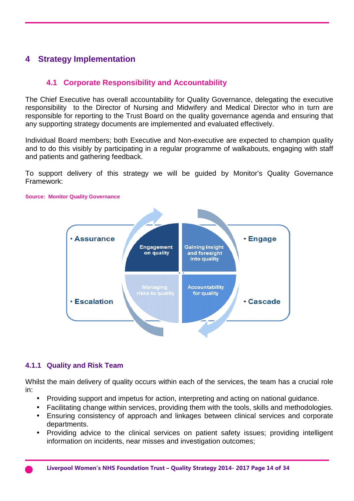## **4 Strategy Implementation**

## **4.1 Corporate Responsibility and Accountability**

The Chief Executive has overall accountability for Quality Governance, delegating the executive responsibility to the Director of Nursing and Midwifery and Medical Director who in turn are responsible for reporting to the Trust Board on the quality governance agenda and ensuring that any supporting strategy documents are implemented and evaluated effectively.

Individual Board members; both Executive and Non-executive are expected to champion quality and to do this visibly by participating in a regular programme of walkabouts, engaging with staff and patients and gathering feedback.

To support delivery of this strategy we will be guided by Monitor's Quality Governance Framework:



#### **Source: Monitor Quality Governance**

#### **4.1.1 Quality and Risk Team**

Whilst the main delivery of quality occurs within each of the services, the team has a crucial role in:

- Providing support and impetus for action, interpreting and acting on national guidance.
- Facilitating change within services, providing them with the tools, skills and methodologies.
- Ensuring consistency of approach and linkages between clinical services and corporate departments.
- Providing advice to the clinical services on patient safety issues; providing intelligent information on incidents, near misses and investigation outcomes;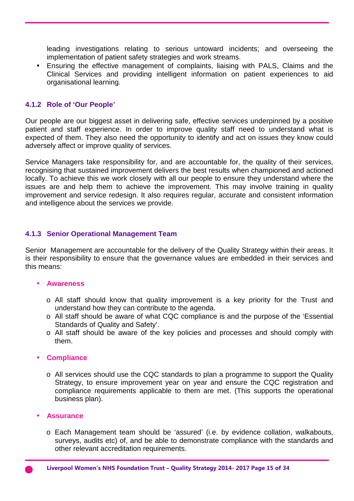leading investigations relating to serious untoward incidents; and overseeing the implementation of patient safety strategies and work streams.

• Ensuring the effective management of complaints, liaising with PALS, Claims and the Clinical Services and providing intelligent information on patient experiences to aid organisational learning.

#### **4.1.2 Role of 'Our People'**

Our people are our biggest asset in delivering safe, effective services underpinned by a positive patient and staff experience. In order to improve quality staff need to understand what is expected of them. They also need the opportunity to identify and act on issues they know could adversely affect or improve quality of services.

Service Managers take responsibility for, and are accountable for, the quality of their services, recognising that sustained improvement delivers the best results when championed and actioned locally. To achieve this we work closely with all our people to ensure they understand where the issues are and help them to achieve the improvement. This may involve training in quality improvement and service redesign. It also requires regular, accurate and consistent information and intelligence about the services we provide.

#### **4.1.3 Senior Operational Management Team**

Senior Management are accountable for the delivery of the Quality Strategy within their areas. It is their responsibility to ensure that the governance values are embedded in their services and this means:

#### • **Awareness**

- o All staff should know that quality improvement is a key priority for the Trust and understand how they can contribute to the agenda.
- o All staff should be aware of what CQC compliance is and the purpose of the 'Essential Standards of Quality and Safety'.
- o All staff should be aware of the key policies and processes and should comply with them.

#### • **Compliance**

o All services should use the CQC standards to plan a programme to support the Quality Strategy, to ensure improvement year on year and ensure the CQC registration and compliance requirements applicable to them are met. (This supports the operational business plan).

#### • **Assurance**

o Each Management team should be 'assured' (i.e. by evidence collation, walkabouts, surveys, audits etc) of, and be able to demonstrate compliance with the standards and other relevant accreditation requirements.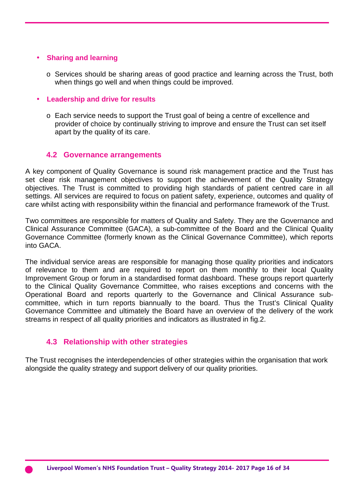#### • **Sharing and learning**

o Services should be sharing areas of good practice and learning across the Trust, both when things go well and when things could be improved.

#### • **Leadership and drive for results**

o Each service needs to support the Trust goal of being a centre of excellence and provider of choice by continually striving to improve and ensure the Trust can set itself apart by the quality of its care.

#### **4.2 Governance arrangements**

A key component of Quality Governance is sound risk management practice and the Trust has set clear risk management objectives to support the achievement of the Quality Strategy objectives. The Trust is committed to providing high standards of patient centred care in all settings. All services are required to focus on patient safety, experience, outcomes and quality of care whilst acting with responsibility within the financial and performance framework of the Trust.

Two committees are responsible for matters of Quality and Safety. They are the Governance and Clinical Assurance Committee (GACA), a sub-committee of the Board and the Clinical Quality Governance Committee (formerly known as the Clinical Governance Committee), which reports into GACA.

The individual service areas are responsible for managing those quality priorities and indicators of relevance to them and are required to report on them monthly to their local Quality Improvement Group or forum in a standardised format dashboard. These groups report quarterly to the Clinical Quality Governance Committee, who raises exceptions and concerns with the Operational Board and reports quarterly to the Governance and Clinical Assurance subcommittee, which in turn reports biannually to the board. Thus the Trust's Clinical Quality Governance Committee and ultimately the Board have an overview of the delivery of the work streams in respect of all quality priorities and indicators as illustrated in fig.2.

#### **4.3 Relationship with other strategies**

The Trust recognises the interdependencies of other strategies within the organisation that work alongside the quality strategy and support delivery of our quality priorities.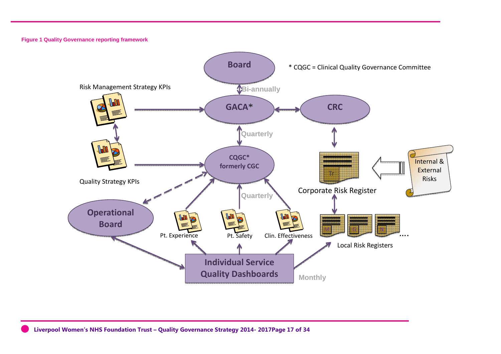**Figure 1 Quality Governance reporting framework**



**Liverpool Women's NHS Foundation Trust – Quality Governance Strategy 2014- 2017Page 17 of 34**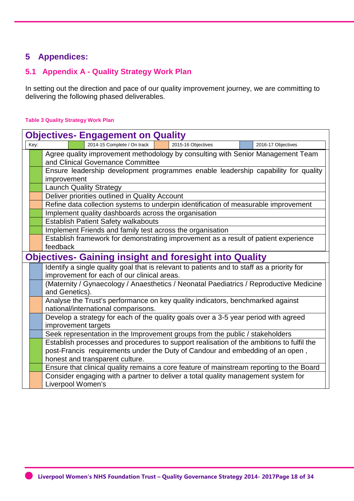## **5 Appendices:**

## **5.1 Appendix A - Quality Strategy Work Plan**

In setting out the direction and pace of our quality improvement journey, we are committing to delivering the following phased deliverables.

#### **Table 3 Quality Strategy Work Plan**

| <b>Objectives- Engagement on Quality</b>                                        |                                                                                          |  |                                                           |  |                                                                                            |  |  |  |  |  |
|---------------------------------------------------------------------------------|------------------------------------------------------------------------------------------|--|-----------------------------------------------------------|--|--------------------------------------------------------------------------------------------|--|--|--|--|--|
| 2014-15 Complete / On track<br>2015-16 Objectives<br>Key:<br>2016-17 Objectives |                                                                                          |  |                                                           |  |                                                                                            |  |  |  |  |  |
|                                                                                 | Agree quality improvement methodology by consulting with Senior Management Team          |  |                                                           |  |                                                                                            |  |  |  |  |  |
|                                                                                 | and Clinical Governance Committee                                                        |  |                                                           |  |                                                                                            |  |  |  |  |  |
|                                                                                 | Ensure leadership development programmes enable leadership capability for quality        |  |                                                           |  |                                                                                            |  |  |  |  |  |
|                                                                                 | improvement                                                                              |  |                                                           |  |                                                                                            |  |  |  |  |  |
|                                                                                 | <b>Launch Quality Strategy</b>                                                           |  |                                                           |  |                                                                                            |  |  |  |  |  |
|                                                                                 |                                                                                          |  | Deliver priorities outlined in Quality Account            |  |                                                                                            |  |  |  |  |  |
|                                                                                 |                                                                                          |  |                                                           |  | Refine data collection systems to underpin identification of measurable improvement        |  |  |  |  |  |
|                                                                                 |                                                                                          |  | Implement quality dashboards across the organisation      |  |                                                                                            |  |  |  |  |  |
|                                                                                 |                                                                                          |  | Establish Patient Safety walkabouts                       |  |                                                                                            |  |  |  |  |  |
|                                                                                 |                                                                                          |  | Implement Friends and family test across the organisation |  |                                                                                            |  |  |  |  |  |
|                                                                                 |                                                                                          |  |                                                           |  | Establish framework for demonstrating improvement as a result of patient experience        |  |  |  |  |  |
|                                                                                 | feedback                                                                                 |  |                                                           |  |                                                                                            |  |  |  |  |  |
|                                                                                 |                                                                                          |  |                                                           |  | <b>Objectives- Gaining insight and foresight into Quality</b>                              |  |  |  |  |  |
|                                                                                 |                                                                                          |  |                                                           |  | Identify a single quality goal that is relevant to patients and to staff as a priority for |  |  |  |  |  |
|                                                                                 |                                                                                          |  | improvement for each of our clinical areas.               |  |                                                                                            |  |  |  |  |  |
|                                                                                 |                                                                                          |  |                                                           |  | (Maternity / Gynaecology / Anaesthetics / Neonatal Paediatrics / Reproductive Medicine     |  |  |  |  |  |
|                                                                                 | and Genetics).                                                                           |  |                                                           |  |                                                                                            |  |  |  |  |  |
|                                                                                 |                                                                                          |  | national/international comparisons.                       |  | Analyse the Trust's performance on key quality indicators, benchmarked against             |  |  |  |  |  |
|                                                                                 |                                                                                          |  |                                                           |  | Develop a strategy for each of the quality goals over a 3-5 year period with agreed        |  |  |  |  |  |
|                                                                                 |                                                                                          |  | improvement targets                                       |  |                                                                                            |  |  |  |  |  |
|                                                                                 |                                                                                          |  |                                                           |  | Seek representation in the Improvement groups from the public / stakeholders               |  |  |  |  |  |
|                                                                                 | Establish processes and procedures to support realisation of the ambitions to fulfil the |  |                                                           |  |                                                                                            |  |  |  |  |  |
|                                                                                 |                                                                                          |  |                                                           |  | post-Francis requirements under the Duty of Candour and embedding of an open,              |  |  |  |  |  |
|                                                                                 |                                                                                          |  | honest and transparent culture.                           |  |                                                                                            |  |  |  |  |  |
|                                                                                 |                                                                                          |  |                                                           |  | Ensure that clinical quality remains a core feature of mainstream reporting to the Board   |  |  |  |  |  |
|                                                                                 |                                                                                          |  |                                                           |  | Consider engaging with a partner to deliver a total quality management system for          |  |  |  |  |  |
|                                                                                 | Liverpool Women's                                                                        |  |                                                           |  |                                                                                            |  |  |  |  |  |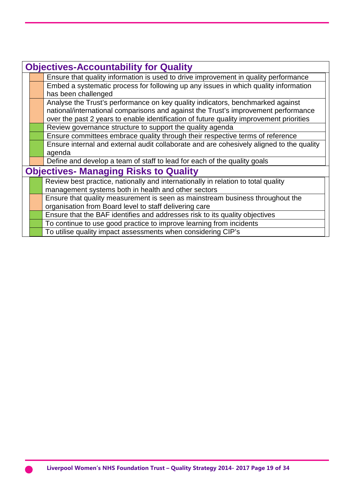| <b>Objectives-Accountability for Quality</b> |                                                                                          |  |  |  |  |  |
|----------------------------------------------|------------------------------------------------------------------------------------------|--|--|--|--|--|
|                                              | Ensure that quality information is used to drive improvement in quality performance      |  |  |  |  |  |
|                                              | Embed a systematic process for following up any issues in which quality information      |  |  |  |  |  |
|                                              | has been challenged                                                                      |  |  |  |  |  |
|                                              | Analyse the Trust's performance on key quality indicators, benchmarked against           |  |  |  |  |  |
|                                              | national/international comparisons and against the Trust's improvement performance       |  |  |  |  |  |
|                                              | over the past 2 years to enable identification of future quality improvement priorities  |  |  |  |  |  |
|                                              | Review governance structure to support the quality agenda                                |  |  |  |  |  |
|                                              | Ensure committees embrace quality through their respective terms of reference            |  |  |  |  |  |
|                                              | Ensure internal and external audit collaborate and are cohesively aligned to the quality |  |  |  |  |  |
|                                              | agenda                                                                                   |  |  |  |  |  |
|                                              | Define and develop a team of staff to lead for each of the quality goals                 |  |  |  |  |  |
|                                              | <b>Objectives- Managing Risks to Quality</b>                                             |  |  |  |  |  |
|                                              | Review best practice, nationally and internationally in relation to total quality        |  |  |  |  |  |
|                                              | management systems both in health and other sectors                                      |  |  |  |  |  |
|                                              | Ensure that quality measurement is seen as mainstream business throughout the            |  |  |  |  |  |
|                                              | organisation from Board level to staff delivering care                                   |  |  |  |  |  |
|                                              | Ensure that the BAF identifies and addresses risk to its quality objectives              |  |  |  |  |  |
|                                              | To continue to use good practice to improve learning from incidents                      |  |  |  |  |  |
|                                              | To utilise quality impact assessments when considering CIP's                             |  |  |  |  |  |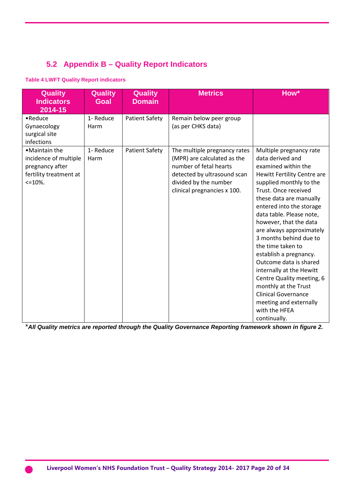## **5.2 Appendix B – Quality Report Indicators**

#### **Table 4 LWFT Quality Report indicators**

| <b>Quality</b><br><b>Indicators</b><br>2014-15                                                      | <b>Quality</b><br><b>Goal</b> | <b>Quality</b><br><b>Domain</b> | <b>Metrics</b>                                                                                                                                                               | How*                                                                                                                                                                                                                                                                                                                                                                                                                                                                                                                                                                       |
|-----------------------------------------------------------------------------------------------------|-------------------------------|---------------------------------|------------------------------------------------------------------------------------------------------------------------------------------------------------------------------|----------------------------------------------------------------------------------------------------------------------------------------------------------------------------------------------------------------------------------------------------------------------------------------------------------------------------------------------------------------------------------------------------------------------------------------------------------------------------------------------------------------------------------------------------------------------------|
| $\bullet$ Reduce<br>Gynaecology<br>surgical site<br>infections                                      | 1- Reduce<br>Harm             | <b>Patient Safety</b>           | Remain below peer group<br>(as per CHKS data)                                                                                                                                |                                                                                                                                                                                                                                                                                                                                                                                                                                                                                                                                                                            |
| • Maintain the<br>incidence of multiple<br>pregnancy after<br>fertility treatment at<br>$\leq$ 10%. | 1- Reduce<br>Harm             | <b>Patient Safety</b>           | The multiple pregnancy rates<br>(MPR) are calculated as the<br>number of fetal hearts<br>detected by ultrasound scan<br>divided by the number<br>clinical pregnancies x 100. | Multiple pregnancy rate<br>data derived and<br>examined within the<br>Hewitt Fertility Centre are<br>supplied monthly to the<br>Trust. Once received<br>these data are manually<br>entered into the storage<br>data table. Please note,<br>however, that the data<br>are always approximately<br>3 months behind due to<br>the time taken to<br>establish a pregnancy.<br>Outcome data is shared<br>internally at the Hewitt<br>Centre Quality meeting, 6<br>monthly at the Trust<br><b>Clinical Governance</b><br>meeting and externally<br>with the HFEA<br>continually. |

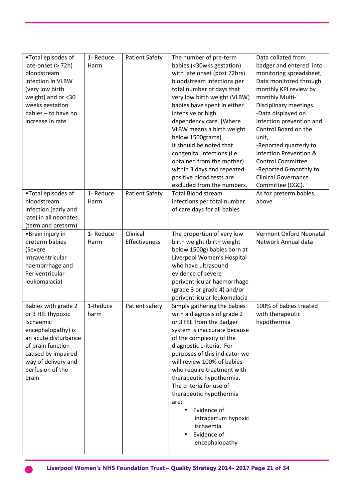|                       | 1- Reduce |                       |                                  |                            |
|-----------------------|-----------|-----------------------|----------------------------------|----------------------------|
| •Total episodes of    |           | <b>Patient Safety</b> | The number of pre-term           | Data collated from         |
| late-onset (> 72h)    | Harm      |                       | babies (<30wks gestation)        | badger and entered into    |
| bloodstream           |           |                       | with late onset (post 72hrs)     | monitoring spreadsheet,    |
| infection in VLBW     |           |                       | bloodstream infections per       | Data monitored through     |
| (very low birth       |           |                       | total number of days that        | monthly KPI review by      |
| weight) and or <30    |           |                       | very low birth weight (VLBW)     | monthly Multi-             |
| weeks gestation       |           |                       | babies have spent in either      | Disciplinary meetings.     |
| babies - to have no   |           |                       | intensive or high                | -Data displayed on         |
| increase in rate      |           |                       | dependency care. [Where          | Infection prevention and   |
|                       |           |                       | VLBW means a birth weight        | Control Board on the       |
|                       |           |                       | below 1500grams]                 | unit,                      |
|                       |           |                       | It should be noted that          | -Reported quarterly to     |
|                       |           |                       | congenital infections (i.e.      | Infection Prevention &     |
|                       |           |                       | obtained from the mother)        | <b>Control Committee</b>   |
|                       |           |                       | within 3 days and repeated       | -Reported 6-monthly to     |
|                       |           |                       | positive blood tests are         | <b>Clinical Governance</b> |
|                       |           |                       | excluded from the numbers.       | Committee (CGC).           |
| •Total episodes of    | 1- Reduce | <b>Patient Safety</b> | <b>Total Blood stream</b>        | As for preterm babies      |
| bloodstream           | Harm      |                       | infections per total number      | above                      |
| infection (early and  |           |                       | of care days for all babies      |                            |
| late) in all neonates |           |                       |                                  |                            |
| (term and preterm)    |           |                       |                                  |                            |
| •Brain injury in      | 1- Reduce | Clinical              | The proportion of very low       | Vermont Oxford Neonatal    |
| preterm babies        | Harm      | Effectiveness         | birth weight (birth weight       | Network Annual data        |
| (Severe               |           |                       | below 1500g) babies born at      |                            |
| Intraventricular      |           |                       | Liverpool Women's Hospital       |                            |
| haemorrhage and       |           |                       | who have ultrasound              |                            |
| Periventricular       |           |                       | evidence of severe               |                            |
| leukomalacia)         |           |                       | periventricular haemorrhage      |                            |
|                       |           |                       | (grade 3 or grade 4) and/or      |                            |
|                       |           |                       | periventricular leukomalacia     |                            |
| Babies with grade 2   | 1-Reduce  | Patient safety        | Simply gathering the babies      | 100% of babies treated     |
| or 3 HIE (hypoxic     | harm      |                       | with a diagnosis of grade 2      | with therapeutic           |
| Ischaemic             |           |                       | or 3 HIE from the Badger         | hypothermia                |
| encephalopathy) is    |           |                       | system is inaccurate because     |                            |
| an acute disturbance  |           |                       | of the complexity of the         |                            |
| of brain function     |           |                       | diagnostic criteria. For         |                            |
| caused by impaired    |           |                       | purposes of this indicator we    |                            |
| way of delivery and   |           |                       | will review 100% of babies       |                            |
| perfusion of the      |           |                       | who require treatment with       |                            |
| brain                 |           |                       | therapeutic hypothermia.         |                            |
|                       |           |                       | The criteria for use of          |                            |
|                       |           |                       | therapeutic hypothermia          |                            |
|                       |           |                       | are:                             |                            |
|                       |           |                       | Evidence of<br>$\bullet$         |                            |
|                       |           |                       |                                  |                            |
|                       |           |                       | intrapartum hypoxic<br>ischaemia |                            |
|                       |           |                       | Evidence of                      |                            |
|                       |           |                       | encephalopathy                   |                            |
|                       |           |                       |                                  |                            |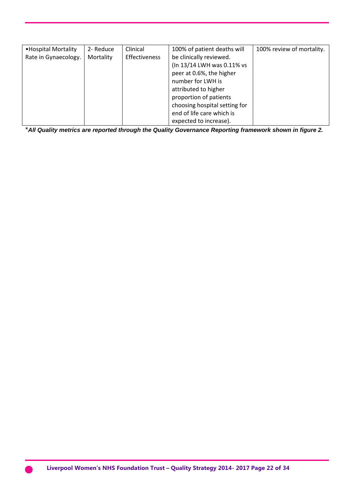| • Hospital Mortality | 2- Reduce | Clinical      | 100% of patient deaths will   | 100% review of mortality. |
|----------------------|-----------|---------------|-------------------------------|---------------------------|
| Rate in Gynaecology. | Mortality | Effectiveness | be clinically reviewed.       |                           |
|                      |           |               | (In 13/14 LWH was 0.11% vs    |                           |
|                      |           |               | peer at 0.6%, the higher      |                           |
|                      |           |               | number for LWH is             |                           |
|                      |           |               | attributed to higher          |                           |
|                      |           |               | proportion of patients        |                           |
|                      |           |               | choosing hospital setting for |                           |
|                      |           |               | end of life care which is     |                           |
|                      |           |               | expected to increase).        |                           |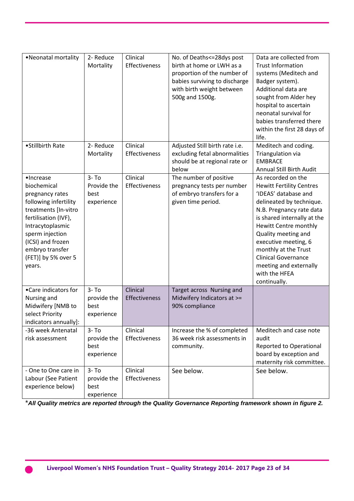| • Neonatal mortality                                                                                                                                                                                                                 | 2- Reduce<br>Mortality                        | Clinical<br>Effectiveness | No. of Deaths <= 28 dys post<br>birth at home or LWH as a<br>proportion of the number of<br>babies surviving to discharge<br>with birth weight between<br>500g and 1500g. | Data are collected from<br><b>Trust Information</b><br>systems (Meditech and<br>Badger system).<br>Additional data are<br>sought from Alder hey<br>hospital to ascertain<br>neonatal survival for<br>babies transferred there<br>within the first 28 days of<br>life.                                                                                         |
|--------------------------------------------------------------------------------------------------------------------------------------------------------------------------------------------------------------------------------------|-----------------------------------------------|---------------------------|---------------------------------------------------------------------------------------------------------------------------------------------------------------------------|---------------------------------------------------------------------------------------------------------------------------------------------------------------------------------------------------------------------------------------------------------------------------------------------------------------------------------------------------------------|
| • Stillbirth Rate                                                                                                                                                                                                                    | 2- Reduce<br>Mortality                        | Clinical<br>Effectiveness | Adjusted Still birth rate i.e.<br>excluding fetal abnormalities<br>should be at regional rate or<br>below                                                                 | Meditech and coding.<br>Triangulation via<br><b>EMBRACE</b><br><b>Annual Still Birth Audit</b>                                                                                                                                                                                                                                                                |
| ·Increase<br>biochemical<br>pregnancy rates<br>following infertility<br>treatments [In-vitro<br>fertilisation (IVF),<br>Intracytoplasmic<br>sperm injection<br>(ICSI) and frozen<br>embryo transfer<br>(FET)] by 5% over 5<br>years. | $3 - To$<br>Provide the<br>best<br>experience | Clinical<br>Effectiveness | The number of positive<br>pregnancy tests per number<br>of embryo transfers for a<br>given time period.                                                                   | As recorded on the<br><b>Hewitt Fertility Centres</b><br>'IDEAS' database and<br>delineated by technique.<br>N.B. Pregnancy rate data<br>is shared internally at the<br>Hewitt Centre monthly<br>Quality meeting and<br>executive meeting, 6<br>monthly at the Trust<br><b>Clinical Governance</b><br>meeting and externally<br>with the HFEA<br>continually. |
| • Care indicators for<br>Nursing and<br>Midwifery [NMB to<br>select Priority<br>indicators annually]:                                                                                                                                | $3 - To$<br>provide the<br>best<br>experience | Clinical<br>Effectiveness | Target across Nursing and<br>Midwifery Indicators at >=<br>90% compliance                                                                                                 |                                                                                                                                                                                                                                                                                                                                                               |
| -36 week Antenatal<br>risk assessment                                                                                                                                                                                                | $3 - To$<br>provide the<br>best<br>experience | Clinical<br>Effectiveness | Increase the % of completed<br>36 week risk assessments in<br>community.                                                                                                  | Meditech and case note<br>audit<br><b>Reported to Operational</b><br>board by exception and<br>maternity risk committee.                                                                                                                                                                                                                                      |
| - One to One care in<br>Labour (See Patient<br>experience below)                                                                                                                                                                     | $3 - To$<br>provide the<br>best<br>experience | Clinical<br>Effectiveness | See below.                                                                                                                                                                | See below.                                                                                                                                                                                                                                                                                                                                                    |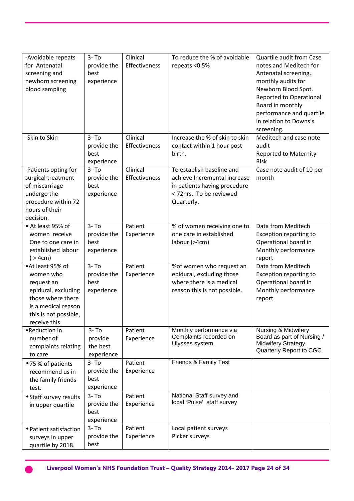| -Avoidable repeats<br>for Antenatal<br>screening and<br>newborn screening<br>blood sampling                                                              | $3 - To$<br>provide the<br>best<br>experience | Clinical<br>Effectiveness | To reduce the % of avoidable<br>repeats <0.5%                                                                                      | Quartile audit from Case<br>notes and Meditech for<br>Antenatal screening,<br>monthly audits for<br>Newborn Blood Spot.<br>Reported to Operational<br>Board in monthly<br>performance and quartile<br>in relation to Downs's<br>screening. |
|----------------------------------------------------------------------------------------------------------------------------------------------------------|-----------------------------------------------|---------------------------|------------------------------------------------------------------------------------------------------------------------------------|--------------------------------------------------------------------------------------------------------------------------------------------------------------------------------------------------------------------------------------------|
| -Skin to Skin                                                                                                                                            | $3 - To$<br>provide the<br>best<br>experience | Clinical<br>Effectiveness | Increase the % of skin to skin<br>contact within 1 hour post<br>birth.                                                             | Meditech and case note<br>audit<br><b>Reported to Maternity</b><br><b>Risk</b>                                                                                                                                                             |
| -Patients opting for<br>surgical treatment<br>of miscarriage<br>undergo the<br>procedure within 72<br>hours of their<br>decision.                        | $3 - To$<br>provide the<br>best<br>experience | Clinical<br>Effectiveness | To establish baseline and<br>achieve Incremental increase<br>in patients having procedure<br>< 72hrs. To be reviewed<br>Quarterly. | Case note audit of 10 per<br>month                                                                                                                                                                                                         |
| • At least 95% of<br>women receive<br>One to one care in<br>established labour<br>( > 4cm)                                                               | $3 - To$<br>provide the<br>best<br>experience | Patient<br>Experience     | % of women receiving one to<br>one care in established<br>labour (>4cm)                                                            | Data from Meditech<br>Exception reporting to<br>Operational board in<br>Monthly performance<br>report                                                                                                                                      |
| •At least 95% of<br>women who<br>request an<br>epidural, excluding<br>those where there<br>is a medical reason<br>this is not possible,<br>receive this. | $3 - To$<br>provide the<br>best<br>experience | Patient<br>Experience     | % of women who request an<br>epidural, excluding those<br>where there is a medical<br>reason this is not possible.                 | Data from Meditech<br>Exception reporting to<br>Operational board in<br>Monthly performance<br>report                                                                                                                                      |
| •Reduction in<br>number of<br>complaints relating<br>to care                                                                                             | $3 - To$<br>provide<br>the best<br>experience | Patient<br>Experience     | Monthly performance via<br>Complaints recorded on<br>Ulysses system.                                                               | <b>Nursing &amp; Midwifery</b><br>Board as part of Nursing /<br>Midwifery Strategy.<br>Quarterly Report to CGC.                                                                                                                            |
| ● 75 % of patients<br>recommend us in<br>the family friends<br>test.                                                                                     | $3 - To$<br>provide the<br>best<br>experience | Patient<br>Experience     | Friends & Family Test                                                                                                              |                                                                                                                                                                                                                                            |
| • Staff survey results<br>in upper quartile                                                                                                              | $3 - To$<br>provide the<br>best<br>experience | Patient<br>Experience     | National Staff survey and<br>local 'Pulse' staff survey                                                                            |                                                                                                                                                                                                                                            |
| • Patient satisfaction<br>surveys in upper<br>quartile by 2018.                                                                                          | $3 - To$<br>provide the<br>best               | Patient<br>Experience     | Local patient surveys<br>Picker surveys                                                                                            |                                                                                                                                                                                                                                            |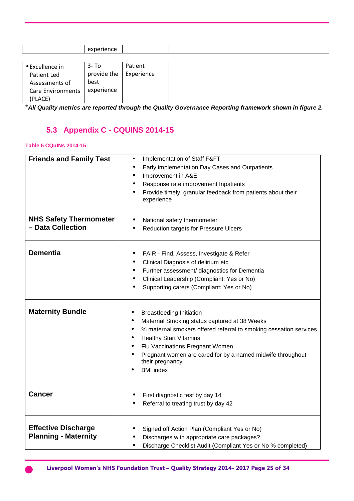|                                                                                         | experience                                 |                       |  |
|-----------------------------------------------------------------------------------------|--------------------------------------------|-----------------------|--|
|                                                                                         |                                            |                       |  |
| • Excellence in<br>Patient Led<br>Assessments of<br><b>Care Environments</b><br>(PLACE) | 3- To<br>provide the<br>best<br>experience | Patient<br>Experience |  |

## **5.3 Appendix C - CQUINS 2014-15**

#### **Table 5 CQuINs 2014-15**

| <b>Friends and Family Test</b> | Implementation of Staff F&FT<br>$\bullet$                                                                                    |
|--------------------------------|------------------------------------------------------------------------------------------------------------------------------|
|                                | Early implementation Day Cases and Outpatients                                                                               |
|                                | Improvement in A&E<br>$\bullet$                                                                                              |
|                                | Response rate improvement Inpatients                                                                                         |
|                                | Provide timely, granular feedback from patients about their<br>experience                                                    |
| <b>NHS Safety Thermometer</b>  | National safety thermometer<br>$\bullet$                                                                                     |
| - Data Collection              | Reduction targets for Pressure Ulcers                                                                                        |
| <b>Dementia</b>                | FAIR - Find, Assess, Investigate & Refer<br>$\bullet$                                                                        |
|                                | Clinical Diagnosis of delirium etc                                                                                           |
|                                | Further assessment/ diagnostics for Dementia<br>$\bullet$                                                                    |
|                                | Clinical Leadership (Compliant: Yes or No)                                                                                   |
|                                | Supporting carers (Compliant: Yes or No)                                                                                     |
| <b>Maternity Bundle</b>        | <b>Breastfeeding Initiation</b>                                                                                              |
|                                | Maternal Smoking status captured at 38 Weeks<br>$\bullet$                                                                    |
|                                | % maternal smokers offered referral to smoking cessation services<br>$\bullet$<br><b>Healthy Start Vitamins</b><br>$\bullet$ |
|                                | Flu Vaccinations Pregnant Women<br>$\bullet$                                                                                 |
|                                | Pregnant women are cared for by a named midwife throughout<br>their pregnancy                                                |
|                                | <b>BMI</b> index                                                                                                             |
| <b>Cancer</b>                  | First diagnostic test by day 14                                                                                              |
|                                | Referral to treating trust by day 42                                                                                         |
| <b>Effective Discharge</b>     | Signed off Action Plan (Compliant Yes or No)                                                                                 |
| <b>Planning - Maternity</b>    | Discharges with appropriate care packages?                                                                                   |
|                                | Discharge Checklist Audit (Compliant Yes or No % completed)<br>$\bullet$                                                     |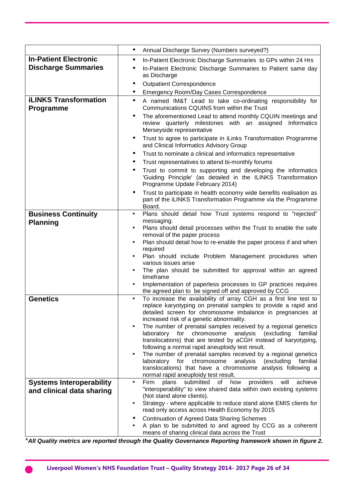|                                           | Annual Discharge Survey (Numbers surveyed?)<br>$\bullet$                                                                                                                                                                                                                 |  |  |  |
|-------------------------------------------|--------------------------------------------------------------------------------------------------------------------------------------------------------------------------------------------------------------------------------------------------------------------------|--|--|--|
| <b>In-Patient Electronic</b>              | In-Patient Electronic Discharge Summaries to GPs within 24 Hrs<br>٠                                                                                                                                                                                                      |  |  |  |
| <b>Discharge Summaries</b>                | In-Patient Electronic Discharge Summaries to Patient same day<br>$\bullet$<br>as Discharge                                                                                                                                                                               |  |  |  |
|                                           | <b>Outpatient Correspondence</b><br>$\bullet$                                                                                                                                                                                                                            |  |  |  |
|                                           | Emergency Room/Day Cases Correspondence                                                                                                                                                                                                                                  |  |  |  |
| <b>iLINKS Transformation</b><br>Programme | A named IM&T Lead to take co-ordinating responsibility for<br>$\bullet$<br>Communications CQUINS from within the Trust                                                                                                                                                   |  |  |  |
|                                           | The aforementioned Lead to attend monthly CQUIN meetings and<br>review quarterly milestones with an assigned<br>Informatics<br>Merseyside representative                                                                                                                 |  |  |  |
|                                           | Trust to agree to participate in iLinks Transformation Programme<br>$\bullet$<br>and Clinical Informatics Advisory Group                                                                                                                                                 |  |  |  |
|                                           | Trust to nominate a clinical and informatics representative<br>$\bullet$                                                                                                                                                                                                 |  |  |  |
|                                           | Trust representatives to attend bi-monthly forums<br>٠                                                                                                                                                                                                                   |  |  |  |
|                                           | Trust to commit to supporting and developing the informatics<br>'Guiding Principle' (as detailed in the ILINKS Transformation<br>Programme Update February 2014)                                                                                                         |  |  |  |
|                                           | Trust to participate in health economy wide benefits realisation as<br>$\bullet$<br>part of the iLINKS Transformation Programme via the Programme<br>Board.                                                                                                              |  |  |  |
| <b>Business Continuity</b>                | Plans should detail how Trust systems respond to "rejected"<br>$\bullet$                                                                                                                                                                                                 |  |  |  |
| <b>Planning</b>                           | messaging.                                                                                                                                                                                                                                                               |  |  |  |
|                                           | Plans should detail processes within the Trust to enable the safe<br>$\bullet$<br>removal of the paper process                                                                                                                                                           |  |  |  |
|                                           | Plan should detail how to re-enable the paper process if and when<br>$\bullet$<br>required                                                                                                                                                                               |  |  |  |
|                                           | Plan should include Problem Management procedures when<br>various issues arise                                                                                                                                                                                           |  |  |  |
|                                           | The plan should be submitted for approval within an agreed<br>٠                                                                                                                                                                                                          |  |  |  |
|                                           | timeframe<br>Implementation of paperless processes to GP practices requires<br>$\bullet$                                                                                                                                                                                 |  |  |  |
|                                           | the agreed plan to be signed off and approved by CCG                                                                                                                                                                                                                     |  |  |  |
| <b>Genetics</b>                           | To increase the availability of array CGH as a first line test to<br>$\bullet$                                                                                                                                                                                           |  |  |  |
|                                           | replace karyotyping on prenatal samples to provide a rapid and<br>detailed screen for chromosome imbalance in pregnancies at                                                                                                                                             |  |  |  |
|                                           | increased risk of a genetic abnormality.                                                                                                                                                                                                                                 |  |  |  |
|                                           | The number of prenatal samples received by a regional genetics<br>$\bullet$<br>laboratory for<br>chromosome<br>analysis<br>(excluding<br>familial<br>translocations) that are tested by aCGH instead of karyotyping,<br>following a normal rapid aneuploidy test result. |  |  |  |
|                                           | The number of prenatal samples received by a regional genetics<br>$\bullet$                                                                                                                                                                                              |  |  |  |
|                                           | laboratory for chromosome<br>analysis (excluding<br>familial                                                                                                                                                                                                             |  |  |  |
|                                           | translocations) that have a chromosome analysis following a<br>normal rapid aneuploidy test result.                                                                                                                                                                      |  |  |  |
| <b>Systems Interoperability</b>           | Firm<br>plans<br>submitted<br>providers<br>of how<br>will<br>achieve<br>$\bullet$                                                                                                                                                                                        |  |  |  |
| and clinical data sharing                 | "interoperability" to view shared data within own existing systems<br>(Not stand alone clients).                                                                                                                                                                         |  |  |  |
|                                           | Strategy - where applicable to reduce stand alone EMIS clients for<br>$\bullet$                                                                                                                                                                                          |  |  |  |
|                                           | read only access across Health Economy by 2015                                                                                                                                                                                                                           |  |  |  |
|                                           | <b>Continuation of Agreed Data Sharing Schemes</b>                                                                                                                                                                                                                       |  |  |  |
|                                           | A plan to be submitted to and agreed by CCG as a coherent<br>means of sharing clinical data across the Trust                                                                                                                                                             |  |  |  |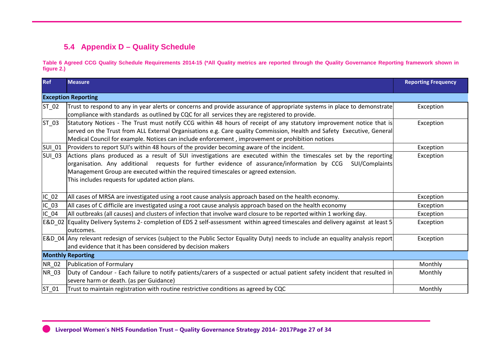## **5.4 Appendix D – Quality Schedule**

**Table 6 Agreed CCG Quality Schedule Requirements 2014-15 (\*All Quality metrics are reported through the Quality Governance Reporting framework shown in figure 2.)** 

| <b>Ref</b>    | <b>Measure</b>                                                                                                                         | <b>Reporting Frequency</b> |
|---------------|----------------------------------------------------------------------------------------------------------------------------------------|----------------------------|
|               | <b>Exception Reporting</b>                                                                                                             |                            |
| $ST_02$       | Trust to respond to any in year alerts or concerns and provide assurance of appropriate systems in place to demonstrate                | Exception                  |
|               | compliance with standards as outlined by CQC for all services they are registered to provide.                                          |                            |
| $ST_03$       | Statutory Notices - The Trust must notify CCG within 48 hours of receipt of any statutory improvement notice that is                   | Exception                  |
|               | served on the Trust from ALL External Organisations e.g. Care quality Commission, Health and Safety Executive, General                 |                            |
|               | Medical Council for example. Notices can include enforcement, improvement or prohibition notices                                       |                            |
| <b>SUI_01</b> | Providers to report SUI's within 48 hours of the provider becoming aware of the incident.                                              | Exception                  |
| <b>SUI_03</b> | Actions plans produced as a result of SUI investigations are executed within the timescales set by the reporting                       | Exception                  |
|               | organisation. Any additional requests for further evidence of assurance/information by CCG<br>SUI/Complaints                           |                            |
|               | Management Group are executed within the required timescales or agreed extension.                                                      |                            |
|               | This includes requests for updated action plans.                                                                                       |                            |
|               |                                                                                                                                        |                            |
| $IC_02$       | All cases of MRSA are investigated using a root cause analysis approach based on the health economy.                                   | Exception                  |
| $IC_03$       | All cases of C difficile are investigated using a root cause analysis approach based on the health economy                             | Exception                  |
| $IC_04$       | All outbreaks (all causes) and clusters of infection that involve ward closure to be reported within 1 working day.                    | Exception                  |
| E&D 02        | Equality Delivery Systems 2- completion of EDS 2 self-assessment within agreed timescales and delivery against at least 5<br>outcomes. | Exception                  |
|               | E&D 04 Any relevant redesign of services (subject to the Public Sector Equality Duty) needs to include an equality analysis report     | Exception                  |
|               | and evidence that it has been considered by decision makers                                                                            |                            |
|               | <b>Monthly Reporting</b>                                                                                                               |                            |
| NR_02         | Publication of Formulary                                                                                                               | Monthly                    |
| NR_03         | Duty of Candour - Each failure to notify patients/carers of a suspected or actual patient safety incident that resulted in             | Monthly                    |
|               | severe harm or death. (as per Guidance)                                                                                                |                            |
| $ST_01$       | Trust to maintain registration with routine restrictive conditions as agreed by CQC                                                    | Monthly                    |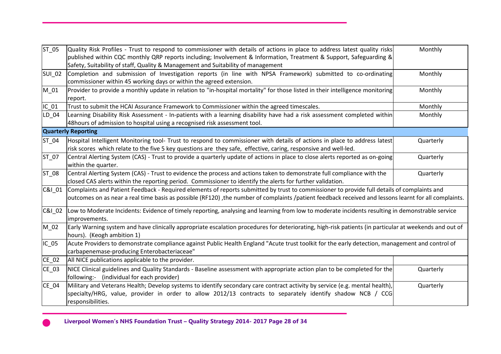| ST_05         | Quality Risk Profiles - Trust to respond to commissioner with details of actions in place to address latest quality risks<br>published within CQC monthly QRP reports including; Involvement & Information, Treatment & Support, Safeguarding &<br>Safety, Suitability of staff, Quality & Management and Suitability of management | Monthly   |
|---------------|-------------------------------------------------------------------------------------------------------------------------------------------------------------------------------------------------------------------------------------------------------------------------------------------------------------------------------------|-----------|
| <b>SUI_02</b> | Completion and submission of Investigation reports (in line with NPSA Framework) submitted to co-ordinating<br>commissioner within 45 working days or within the agreed extension.                                                                                                                                                  | Monthly   |
| $M_01$        | Provider to provide a monthly update in relation to "in-hospital mortality" for those listed in their intelligence monitoring<br>report.                                                                                                                                                                                            | Monthly   |
| $IC_01$       | Trust to submit the HCAI Assurance Framework to Commissioner within the agreed timescales.                                                                                                                                                                                                                                          | Monthly   |
| LD 04         | Learning Disability Risk Assessment - In-patients with a learning disability have had a risk assessment completed within<br>48 hours of admission to hospital using a recognised risk assessment tool.                                                                                                                              | Monthly   |
|               | <b>Quarterly Reporting</b>                                                                                                                                                                                                                                                                                                          |           |
| ST_04         | Hospital Intelligent Monitoring tool- Trust to respond to commissioner with details of actions in place to address latest<br>risk scores which relate to the five 5 key questions are they safe, effective, caring, responsive and well-led.                                                                                        | Quarterly |
| ST 07         | Central Alerting System (CAS) - Trust to provide a quarterly update of actions in place to close alerts reported as on-going<br>within the quarter.                                                                                                                                                                                 | Quarterly |
| ST_08         | Central Alerting System (CAS) - Trust to evidence the process and actions taken to demonstrate full compliance with the<br>closed CAS alerts within the reporting period. Commissioner to identify the alerts for further validation.                                                                                               | Quarterly |
| C&I_01        | Complaints and Patient Feedback - Required elements of reports submitted by trust to commissioner to provide full details of complaints and<br>outcomes on as near a real time basis as possible (RF120), the number of complaints /patient feedback received and lessons learnt for all complaints.                                |           |
| C&I_02        | Low to Moderate Incidents: Evidence of timely reporting, analysing and learning from low to moderate incidents resulting in demonstrable service<br>improvements.                                                                                                                                                                   |           |
| M_02          | Early Warning system and have clinically appropriate escalation procedures for deteriorating, high-risk patients (in particular at weekends and out of<br>hours). (Keogh ambition 1)                                                                                                                                                |           |
| $IC_05$       | Acute Providers to demonstrate compliance against Public Health England "Acute trust toolkit for the early detection, management and control of<br>carbapenemase-producing Enterobacteriaceae"                                                                                                                                      |           |
| $CE_02$       | All NICE publications applicable to the provider.                                                                                                                                                                                                                                                                                   |           |
| CE_03         | NICE Clinical guidelines and Quality Standards - Baseline assessment with appropriate action plan to be completed for the<br>following:- (individual for each provider)                                                                                                                                                             | Quarterly |
| $CE_04$       | Military and Veterans Health; Develop systems to identify secondary care contract activity by service (e.g. mental health),<br>specialty/HRG, value, provider in order to allow 2012/13 contracts to separately identify shadow NCB / CCG<br>responsibilities.                                                                      | Quarterly |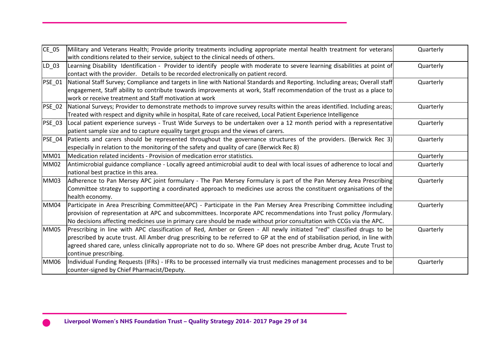| $CE_05$       | Military and Veterans Health; Provide priority treatments including appropriate mental health treatment for veterans<br>with conditions related to their service, subject to the clinical needs of others.                                                                                                                                                                                              | Quarterly |
|---------------|---------------------------------------------------------------------------------------------------------------------------------------------------------------------------------------------------------------------------------------------------------------------------------------------------------------------------------------------------------------------------------------------------------|-----------|
| LD_03         | Learning Disability Identification - Provider to identify people with moderate to severe learning disabilities at point of<br>contact with the provider. Details to be recorded electronically on patient record.                                                                                                                                                                                       | Quarterly |
| <b>PSE_01</b> | National Staff Survey; Compliance and targets in line with National Standards and Reporting. Including areas; Overall staff<br>engagement, Staff ability to contribute towards improvements at work, Staff recommendation of the trust as a place to<br>work or receive treatment and Staff motivation at work                                                                                          | Quarterly |
| <b>PSE_02</b> | National Surveys; Provider to demonstrate methods to improve survey results within the areas identified. Including areas;<br>Treated with respect and dignity while in hospital, Rate of care received, Local Patient Experience Intelligence                                                                                                                                                           | Quarterly |
| <b>PSE 03</b> | Local patient experience surveys - Trust Wide Surveys to be undertaken over a 12 month period with a representative<br>patient sample size and to capture equality target groups and the views of carers.                                                                                                                                                                                               | Quarterly |
| <b>PSE_04</b> | Patients and carers should be represented throughout the governance structures of the providers. (Berwick Rec 3)<br>especially in relation to the monitoring of the safety and quality of care (Berwick Rec 8)                                                                                                                                                                                          | Quarterly |
| <b>MM01</b>   | Medication related incidents - Provision of medication error statistics.                                                                                                                                                                                                                                                                                                                                | Quarterly |
| <b>MM02</b>   | Antimicrobial guidance compliance - Locally agreed antimicrobial audit to deal with local issues of adherence to local and<br>national best practice in this area.                                                                                                                                                                                                                                      | Quarterly |
| <b>MM03</b>   | Adherence to Pan Mersey APC joint formulary - The Pan Mersey Formulary is part of the Pan Mersey Area Prescribing<br>Committee strategy to supporting a coordinated approach to medicines use across the constituent organisations of the<br>health economy.                                                                                                                                            | Quarterly |
| <b>MM04</b>   | Participate in Area Prescribing Committee(APC) - Participate in the Pan Mersey Area Prescribing Committee including<br>provision of representation at APC and subcommittees. Incorporate APC recommendations into Trust policy /formulary.<br>No decisions affecting medicines use in primary care should be made without prior consultation with CCGs via the APC.                                     | Quarterly |
| <b>MM05</b>   | Prescribing in line with APC classification of Red, Amber or Green - All newly initiated "red" classified drugs to be<br>prescribed by acute trust. All Amber drug prescribing to be referred to GP at the end of stabilisation period, in line with<br>agreed shared care, unless clinically appropriate not to do so. Where GP does not prescribe Amber drug, Acute Trust to<br>continue prescribing. | Quarterly |
| <b>MM06</b>   | Individual Funding Requests (IFRs) - IFRs to be processed internally via trust medicines management processes and to be<br>counter-signed by Chief Pharmacist/Deputy.                                                                                                                                                                                                                                   | Quarterly |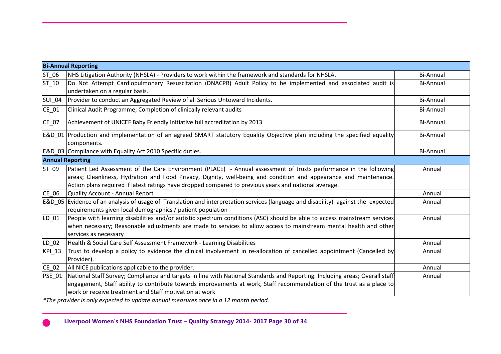|                             | <b>Bi-Annual Reporting</b>                                                                                                                                                                                                                                                                                                                                                                                              |                  |
|-----------------------------|-------------------------------------------------------------------------------------------------------------------------------------------------------------------------------------------------------------------------------------------------------------------------------------------------------------------------------------------------------------------------------------------------------------------------|------------------|
| ST_06                       | NHS Litigation Authority (NHSLA) - Providers to work within the framework and standards for NHSLA.                                                                                                                                                                                                                                                                                                                      | <b>Bi-Annual</b> |
| $ST_10$                     | Do Not Attempt Cardiopulmonary Resuscitation (DNACPR) Adult Policy to be implemented and associated audit is<br>undertaken on a regular basis.                                                                                                                                                                                                                                                                          | <b>Bi-Annual</b> |
| <b>SUI_04</b>               | Provider to conduct an Aggregated Review of all Serious Untoward Incidents.                                                                                                                                                                                                                                                                                                                                             | <b>Bi-Annual</b> |
| $CE_01$                     | Clinical Audit Programme; Completion of clinically relevant audits                                                                                                                                                                                                                                                                                                                                                      | <b>Bi-Annual</b> |
| $CE_07$                     | Achievement of UNICEF Baby Friendly Initiative full accreditation by 2013                                                                                                                                                                                                                                                                                                                                               | <b>Bi-Annual</b> |
|                             | E&D 01 Production and implementation of an agreed SMART statutory Equality Objective plan including the specified equality<br>components.                                                                                                                                                                                                                                                                               | <b>Bi-Annual</b> |
|                             | E&D 03 Compliance with Equality Act 2010 Specific duties.                                                                                                                                                                                                                                                                                                                                                               | <b>Bi-Annual</b> |
| <b>Annual Reporting</b>     |                                                                                                                                                                                                                                                                                                                                                                                                                         |                  |
| ST_09                       | Patient Led Assessment of the Care Environment (PLACE) - Annual assessment of trusts performance in the following<br>areas; Cleanliness, Hydration and Food Privacy, Dignity, well-being and condition and appearance and maintenance.<br>Action plans required if latest ratings have dropped compared to previous years and national average.                                                                         | Annual           |
| CE_06                       | Quality Account - Annual Report                                                                                                                                                                                                                                                                                                                                                                                         | Annual           |
|                             | E&D_05 Evidence of an analysis of usage of Translation and interpretation services (language and disability) against the expected<br>requirements given local demographics / patient population                                                                                                                                                                                                                         | Annual           |
| LD_01                       | People with learning disabilities and/or autistic spectrum conditions (ASC) should be able to access mainstream services<br>when necessary; Reasonable adjustments are made to services to allow access to mainstream mental health and other<br>services as necessary                                                                                                                                                  | Annual           |
| LD_02                       | Health & Social Care Self Assessment Framework - Learning Disabilities                                                                                                                                                                                                                                                                                                                                                  | Annual           |
| $KPL_13$                    | Trust to develop a policy to evidence the clinical involvement in re-allocation of cancelled appointment (Cancelled by<br>Provider).                                                                                                                                                                                                                                                                                    | Annual           |
| $CE_02$                     | All NICE publications applicable to the provider.                                                                                                                                                                                                                                                                                                                                                                       | Annual           |
| PSE_01<br>$*T_{k}$ $\ldots$ | National Staff Survey; Compliance and targets in line with National Standards and Reporting. Including areas; Overall staff<br>engagement, Staff ability to contribute towards improvements at work, Staff recommendation of the trust as a place to<br>work or receive treatment and Staff motivation at work<br>والمتعاونة والمستحصر فالأرمان والمتحوم ومستنفذ ومسالم ومستحققه والمستحقة المقاوم والمستحي والمتحارفان | Annual           |

*\*The provider is only expected to update annual measures once in a 12 month period.*

**Liverpool Women's NHS Foundation Trust – Quality Strategy 2014- 2017 Page 30 of 34**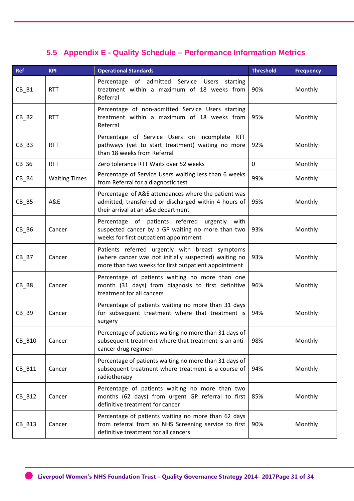## **5.5 Appendix E - Quality Schedule – Performance Information Metrics**

| <b>Ref</b> | <b>KPI</b>           | <b>Operational Standards</b>                                                                                                                                     | <b>Threshold</b> | <b>Frequency</b> |
|------------|----------------------|------------------------------------------------------------------------------------------------------------------------------------------------------------------|------------------|------------------|
| $CB$ $B1$  | <b>RTT</b>           | Percentage of admitted Service Users starting<br>treatment within a maximum of 18 weeks from<br>Referral                                                         | 90%              | Monthly          |
| $CB$ $B2$  | <b>RTT</b>           | Percentage of non-admitted Service Users starting<br>treatment within a maximum of 18 weeks from<br>Referral                                                     | 95%              | Monthly          |
| $CB$ $B3$  | <b>RTT</b>           | Percentage of Service Users on incomplete RTT<br>pathways (yet to start treatment) waiting no more<br>than 18 weeks from Referral                                | 92%              | Monthly          |
| CB_S6      | <b>RTT</b>           | Zero tolerance RTT Waits over 52 weeks                                                                                                                           | $\mathbf 0$      | Monthly          |
| $CB$ $B4$  | <b>Waiting Times</b> | Percentage of Service Users waiting less than 6 weeks<br>from Referral for a diagnostic test                                                                     | 99%              | Monthly          |
| $CB$ $B5$  | A&E                  | Percentage of A&E attendances where the patient was<br>admitted, transferred or discharged within 4 hours of<br>their arrival at an a&e department               | 95%              | Monthly          |
| $CB$ $B6$  | Cancer               | Percentage of patients referred urgently with<br>suspected cancer by a GP waiting no more than two<br>weeks for first outpatient appointment                     | 93%              | Monthly          |
| $CB$ $B7$  | Cancer               | Patients referred urgently with breast symptoms<br>(where cancer was not initially suspected) waiting no<br>more than two weeks for first outpatient appointment | 93%              | Monthly          |
| $CB$ $B8$  | Cancer               | Percentage of patients waiting no more than one<br>month (31 days) from diagnosis to first definitive<br>treatment for all cancers                               | 96%              | Monthly          |
| CB_B9      | Cancer               | Percentage of patients waiting no more than 31 days<br>for subsequent treatment where that treatment is<br>surgery                                               | 94%              | Monthly          |
| CB_B10     | Cancer               | Percentage of patients waiting no more than 31 days of<br>subsequent treatment where that treatment is an anti-<br>cancer drug regimen                           | 98%              | Monthly          |
| $CB$ $B11$ | Cancer               | Percentage of patients waiting no more than 31 days of<br>subsequent treatment where treatment is a course of<br>radiotherapy                                    | 94%              | Monthly          |
| CB_B12     | Cancer               | Percentage of patients waiting no more than two<br>months (62 days) from urgent GP referral to first<br>definitive treatment for cancer                          | 85%              | Monthly          |
| CB_B13     | Cancer               | Percentage of patients waiting no more than 62 days<br>from referral from an NHS Screening service to first<br>definitive treatment for all cancers              | 90%              | Monthly          |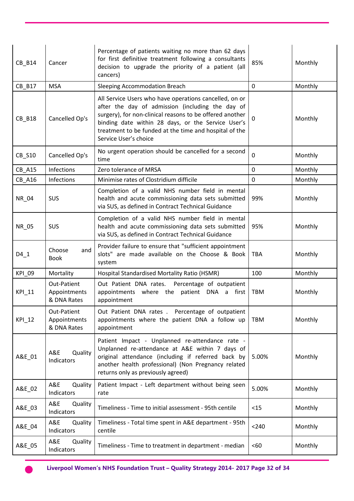| CB_B14        | Cancer                                     | Percentage of patients waiting no more than 62 days<br>for first definitive treatment following a consultants<br>decision to upgrade the priority of a patient (all<br>cancers)                                                                                                                                 | 85%            | Monthly |
|---------------|--------------------------------------------|-----------------------------------------------------------------------------------------------------------------------------------------------------------------------------------------------------------------------------------------------------------------------------------------------------------------|----------------|---------|
| CB_B17        | <b>MSA</b>                                 | Sleeping Accommodation Breach                                                                                                                                                                                                                                                                                   | $\mathbf{0}$   | Monthly |
| <b>CB_B18</b> | Cancelled Op's                             | All Service Users who have operations cancelled, on or<br>after the day of admission (including the day of<br>surgery), for non-clinical reasons to be offered another<br>binding date within 28 days, or the Service User's<br>treatment to be funded at the time and hospital of the<br>Service User's choice | $\Omega$       | Monthly |
| CB_S10        | Cancelled Op's                             | No urgent operation should be cancelled for a second<br>time                                                                                                                                                                                                                                                    | $\mathbf 0$    | Monthly |
| <b>CB_A15</b> | Infections                                 | Zero tolerance of MRSA                                                                                                                                                                                                                                                                                          | $\overline{0}$ | Monthly |
| <b>CB_A16</b> | Infections                                 | Minimise rates of Clostridium difficile                                                                                                                                                                                                                                                                         | $\mathbf 0$    | Monthly |
| NR_04         | <b>SUS</b>                                 | Completion of a valid NHS number field in mental<br>health and acute commissioning data sets submitted<br>via SUS, as defined in Contract Technical Guidance                                                                                                                                                    | 99%            | Monthly |
| NR_05         | <b>SUS</b>                                 | Completion of a valid NHS number field in mental<br>health and acute commissioning data sets submitted<br>via SUS, as defined in Contract Technical Guidance                                                                                                                                                    | 95%            | Monthly |
| $D4_1$        | Choose<br>and<br><b>Book</b>               | Provider failure to ensure that "sufficient appointment<br>slots" are made available on the Choose & Book<br>system                                                                                                                                                                                             | <b>TBA</b>     | Monthly |
| KPI_09        | Mortality                                  | Hospital Standardised Mortality Ratio (HSMR)                                                                                                                                                                                                                                                                    | 100            | Monthly |
| KPI_11        | Out-Patient<br>Appointments<br>& DNA Rates | Out Patient DNA rates. Percentage of outpatient<br>appointments where the patient DNA a first<br>appointment                                                                                                                                                                                                    | <b>TBM</b>     | Monthly |
| KPI_12        | Out-Patient<br>Appointments<br>& DNA Rates | Out Patient DNA rates . Percentage of outpatient<br>appointments where the patient DNA a follow up<br>appointment                                                                                                                                                                                               | <b>TBM</b>     | Monthly |
| A&E_01        | A&E<br>Quality<br>Indicators               | Patient Impact - Unplanned re-attendance rate -<br>Unplanned re-attendance at A&E within 7 days of<br>original attendance (including if referred back by<br>another health professional) (Non Pregnancy related<br>returns only as previously agreed)                                                           | 5.00%          | Monthly |
| A&E_02        | A&E<br>Quality<br>Indicators               | Patient Impact - Left department without being seen<br>rate                                                                                                                                                                                                                                                     | 5.00%          | Monthly |
| A&E_03        | A&E<br>Quality<br>Indicators               | Timeliness - Time to initial assessment - 95th centile                                                                                                                                                                                                                                                          | <15            | Monthly |
| A&E_04        | A&E<br>Quality<br>Indicators               | Timeliness - Total time spent in A&E department - 95th<br>centile                                                                                                                                                                                                                                               | < 240          | Monthly |
| A&E_05        | A&E<br>Quality<br>Indicators               | Timeliness - Time to treatment in department - median                                                                                                                                                                                                                                                           | <60            | Monthly |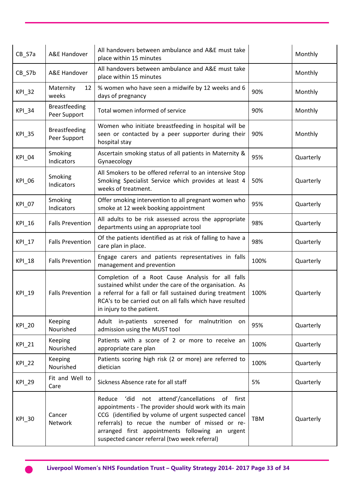| $CB_$ 57a     | A&E Handover                         | All handovers between ambulance and A&E must take<br>place within 15 minutes                                                                                                                                                                                                                                           |            | Monthly   |
|---------------|--------------------------------------|------------------------------------------------------------------------------------------------------------------------------------------------------------------------------------------------------------------------------------------------------------------------------------------------------------------------|------------|-----------|
| CB_S7b        | A&E Handover                         | All handovers between ambulance and A&E must take<br>place within 15 minutes                                                                                                                                                                                                                                           |            | Monthly   |
| KPI_32        | Maternity<br>12<br>weeks             | % women who have seen a midwife by 12 weeks and 6<br>days of pregnancy                                                                                                                                                                                                                                                 | 90%        | Monthly   |
| KPI_34        | <b>Breastfeeding</b><br>Peer Support | Total women informed of service                                                                                                                                                                                                                                                                                        | 90%        | Monthly   |
| <b>KPI_35</b> | <b>Breastfeeding</b><br>Peer Support | Women who initiate breastfeeding in hospital will be<br>seen or contacted by a peer supporter during their<br>hospital stay                                                                                                                                                                                            | 90%        | Monthly   |
| KPI_04        | Smoking<br>Indicators                | Ascertain smoking status of all patients in Maternity &<br>Gynaecology                                                                                                                                                                                                                                                 | 95%        | Quarterly |
| KPI_06        | Smoking<br>Indicators                | All Smokers to be offered referral to an intensive Stop<br>Smoking Specialist Service which provides at least 4<br>weeks of treatment.                                                                                                                                                                                 | 50%        | Quarterly |
| KPI_07        | Smoking<br>Indicators                | Offer smoking intervention to all pregnant women who<br>smoke at 12 week booking appointment                                                                                                                                                                                                                           | 95%        | Quarterly |
| KPI_16        | <b>Falls Prevention</b>              | All adults to be risk assessed across the appropriate<br>departments using an appropriate tool                                                                                                                                                                                                                         | 98%        | Quarterly |
| KPI_17        | <b>Falls Prevention</b>              | Of the patients identified as at risk of falling to have a<br>care plan in place.                                                                                                                                                                                                                                      | 98%        | Quarterly |
| <b>KPI_18</b> | <b>Falls Prevention</b>              | Engage carers and patients representatives in falls<br>management and prevention                                                                                                                                                                                                                                       | 100%       | Quarterly |
| KPI_19        | <b>Falls Prevention</b>              | Completion of a Root Cause Analysis for all falls<br>sustained whilst under the care of the organisation. As<br>a referral for a fall or fall sustained during treatment<br>RCA's to be carried out on all falls which have resulted<br>in injury to the patient.                                                      | 100%       | Quarterly |
| <b>KPI_20</b> | Keeping<br>Nourished                 | Adult in-patients screened for malnutrition<br>on<br>admission using the MUST tool                                                                                                                                                                                                                                     | 95%        | Quarterly |
| <b>KPI_21</b> | Keeping<br>Nourished                 | Patients with a score of 2 or more to receive an<br>appropriate care plan                                                                                                                                                                                                                                              | 100%       | Quarterly |
| <b>KPI_22</b> | Keeping<br>Nourished                 | Patients scoring high risk (2 or more) are referred to<br>dietician                                                                                                                                                                                                                                                    | 100%       | Quarterly |
| KPI_29        | Fit and Well to<br>Care              | Sickness Absence rate for all staff                                                                                                                                                                                                                                                                                    | 5%         | Quarterly |
| KPI_30        | Cancer<br>Network                    | Reduce 'did not attend'/cancellations of first<br>appointments - The provider should work with its main<br>CCG (identified by volume of urgent suspected cancel<br>referrals) to recue the number of missed or re-<br>arranged first appointments following an urgent<br>suspected cancer referral (two week referral) | <b>TBM</b> | Quarterly |